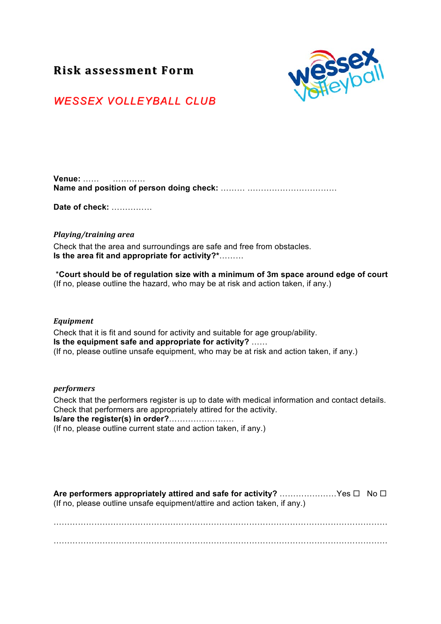# **Risk%assessment%Form% Risk%assessment%Form%**



# *WESSEX VOLLEYBALL CL WESSEX VOLLEYBALL CLUB*

| Venue: |  |
|--------|--|
|        |  |

**Date of check:** ……………

## *Playing/training+area*

Check that the area and surroundings are safe and free from obstacles. **Is the area fit and appropriate for activity?\***………

\***Court should be of regulation size with a minimum of 3m space around edge of court** (If no, please outline the hazard, who may be at risk and action taken, if any.)

#### *Equipment*

Check that it is fit and sound for activity and suitable for age group/ability. **Is the equipment safe and appropriate for activity?** …… (If no, please outline unsafe equipment, who may be at risk and action taken, if any.)

#### *performers*

Check that the performers register is up to date with medical information and contact details. Check that performers are appropriately attired for the activity. **Is/are the register(s) in order?**…………………… (If no, please outline current state and action taken, if any.)

**Are performers appropriately attired and safe for activity?** ……………………Yes □ No □ (If no, please outline unsafe equipment/attire and action taken, if any.)

……………………………………………………………………………………………………………  $\mathcal{L}^{\text{max}}_{\text{max}}$